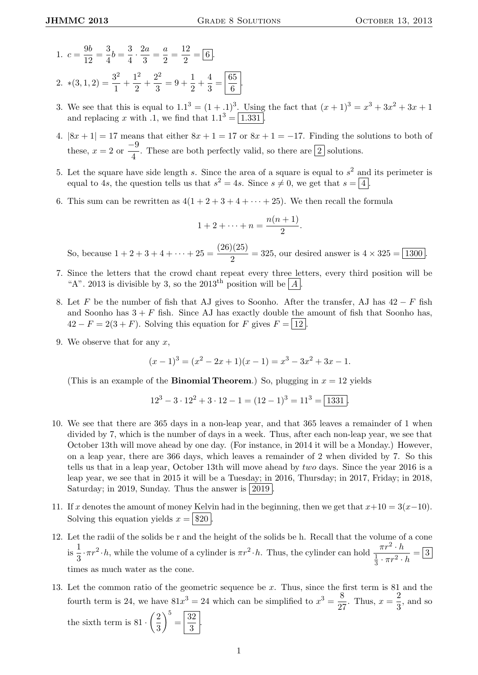- 1.  $c = \frac{9b}{18}$  $\frac{9b}{12} = \frac{3}{4}$  $\frac{3}{4}b = \frac{3}{4}$  $rac{3}{4} \cdot \frac{2a}{3}$  $\frac{2a}{3} = \frac{a}{2}$  $\frac{a}{2} = \frac{12}{2}$  $\frac{2}{2} = 6$ . 2.  $*(3,1,2) = \frac{3^2}{1}$  $\frac{3^2}{1} + \frac{1^2}{2}$  $\frac{1^2}{2} + \frac{2^2}{3}$  $\frac{2^2}{3} = 9 + \frac{1}{2}$  $\frac{1}{2} + \frac{4}{3}$  $rac{4}{3} = \frac{65}{6}$
- $\frac{5}{6}$ . 3. We see that this is equal to  $1.1^3 = (1 + .1)^3$ . Using the fact that  $(x + 1)^3 = x^3 + 3x^2 + 3x + 1$ and replacing x with .1, we find that  $1.1^3 = \boxed{1.331}$ .
- 4.  $|8x + 1| = 17$  means that either  $8x + 1 = 17$  or  $8x + 1 = -17$ . Finding the solutions to both of these,  $x = 2$  or  $\frac{-9}{4}$  $\frac{1}{4}$ . These are both perfectly valid, so there are  $\boxed{2}$  solutions.
- 5. Let the square have side length s. Since the area of a square is equal to  $s^2$  and its perimeter is equal to 4s, the question tells us that  $s^2 = 4s$ . Since  $s \neq 0$ , we get that  $s = \boxed{4}$ .
- 6. This sum can be rewritten as  $4(1+2+3+4+\cdots+25)$ . We then recall the formula

$$
1+2+\cdots+n=\frac{n(n+1)}{2}.
$$

So, because  $1 + 2 + 3 + 4 + \cdots + 25 = \frac{(26)(25)}{8}$  $\frac{2(20)}{2}$  = 325, our desired answer is  $4 \times 325 = 1300$ .

- 7. Since the letters that the crowd chant repeat every three letters, every third position will be "A". 2013 is divisible by 3, so the 2013<sup>th</sup> position will be  $|A|$ .
- 8. Let F be the number of fish that AJ gives to Soonho. After the transfer, AJ has  $42-F$  fish and Soonho has  $3 + F$  fish. Since AJ has exactly double the amount of fish that Soonho has,  $42 - F = 2(3 + F)$ . Solving this equation for F gives  $F = |12|$ .
- 9. We observe that for any  $x$ ,

$$
(x-1)3 = (x2 - 2x + 1)(x - 1) = x3 - 3x2 + 3x - 1.
$$

(This is an example of the **Binomial Theorem.**) So, plugging in  $x = 12$  yields

$$
123 - 3 \cdot 122 + 3 \cdot 12 - 1 = (12 - 1)3 = 113 = 1331.
$$

- 10. We see that there are 365 days in a non-leap year, and that 365 leaves a remainder of 1 when divided by 7, which is the number of days in a week. Thus, after each non-leap year, we see that October 13th will move ahead by one day. (For instance, in 2014 it will be a Monday.) However, on a leap year, there are 366 days, which leaves a remainder of 2 when divided by 7. So this tells us that in a leap year, October 13th will move ahead by two days. Since the year 2016 is a leap year, we see that in 2015 it will be a Tuesday; in 2016, Thursday; in 2017, Friday; in 2018, Saturday; in 2019, Sunday. Thus the answer is  $|2019\rangle$
- 11. If x denotes the amount of money Kelvin had in the beginning, then we get that  $x+10 = 3(x-10)$ . Solving this equation yields  $x = |820|$
- 12. Let the radii of the solids be r and the height of the solids be h. Recall that the volume of a cone  $\frac{1}{18}$  $\frac{1}{3} \cdot \pi r^2 \cdot h$ , while the volume of a cylinder is  $\pi r^2 \cdot h$ . Thus, the cylinder can hold  $\frac{\pi r^2 \cdot h}{\frac{1}{3} \cdot \pi r^2}$ . 1  $\frac{\pi}{3} \cdot \pi r^2 \cdot h = 3$ times as much water as the cone.
- 13. Let the common ratio of the geometric sequence be  $x$ . Thus, since the first term is 81 and the fourth term is 24, we have  $81x^3 = 24$  which can be simplified to  $x^3 = \frac{8}{3}$  $\frac{8}{27}$ . Thus,  $x = \frac{2}{3}$  $\frac{2}{3}$ , and so

the sixth term is  $81 \cdot \left(\frac{2}{5}\right)$ 3  $\bigg\}^5 = \boxed{\frac{32}{2}}$  $\frac{2}{3}$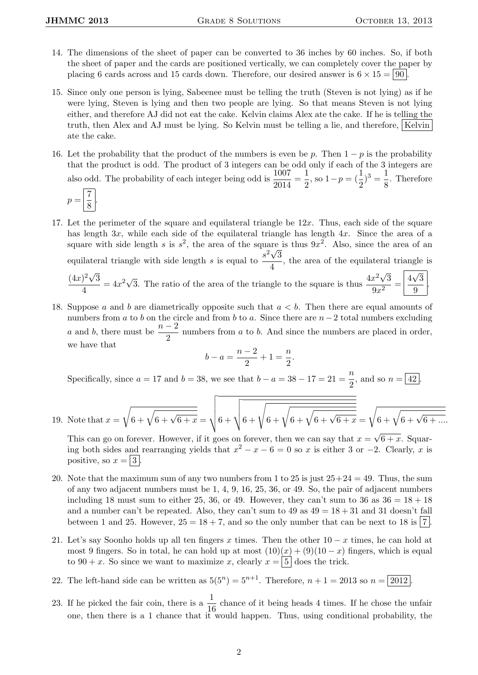- 14. The dimensions of the sheet of paper can be converted to 36 inches by 60 inches. So, if both the sheet of paper and the cards are positioned vertically, we can completely cover the paper by placing 6 cards across and 15 cards down. Therefore, our desired answer is  $6 \times 15 = |90|$ .
- 15. Since only one person is lying, Sabeenee must be telling the truth (Steven is not lying) as if he were lying, Steven is lying and then two people are lying. So that means Steven is not lying either, and therefore AJ did not eat the cake. Kelvin claims Alex ate the cake. If he is telling the truth, then Alex and AJ must be lying. So Kelvin must be telling a lie, and therefore, Kelvin ate the cake.
- 16. Let the probability that the product of the numbers is even be p. Then  $1 p$  is the probability that the product is odd. The product of 3 integers can be odd only if each of the 3 integers are also odd. The probability of each integer being odd is  $\frac{1007}{2014} = \frac{1}{2}$  $\frac{1}{2}$ , so  $1-p = (\frac{1}{2})^3 = \frac{1}{8}$  $\frac{1}{8}$ . Therefore

$$
p = \boxed{\frac{7}{8}}.
$$

- 17. Let the perimeter of the square and equilateral triangle be  $12x$ . Thus, each side of the square has length 3x, while each side of the equilateral triangle has length 4x. Since the area of a square with side length s is  $s^2$ , the area of the square is thus  $9x^2$ . Also, since the area of an equilateral triangle with side length s is equal to  $\frac{s^2\sqrt{3}}{4}$  $\frac{60}{4}$ , the area of the equilateral triangle is  $(4x)^2\sqrt{ }$ 3  $\frac{4}{4}$  = 4x<sup>2</sup> $\sqrt{3}$ . The ratio of the area of the triangle to the square is thus  $\frac{4x^2\sqrt{3}}{9x^2}$ 3  $\frac{x^2\sqrt{3}}{9x^2} = \frac{4}{3}$ √ 3  $\frac{1}{9}$
- 18. Suppose a and b are diametrically opposite such that  $a < b$ . Then there are equal amounts of numbers from a to b on the circle and from b to a. Since there are  $n-2$  total numbers excluding a and b, there must be  $\frac{n-2}{2}$  numbers from a to b. And since the numbers are placed in order, we have that

$$
b-a=\frac{n-2}{2}+1=\frac{n}{2}
$$

.

Specifically, since  $a = 17$  and  $b = 38$ , we see that  $b - a = 38 - 17 = 21 = \frac{n}{2}$  $\frac{\pi}{2}$ , and so  $n = \boxed{42}$ .

19. Note that x = r 6 + <sup>q</sup> 6 + <sup>√</sup> 6 + x = vuuut6 + vuut 6 + <sup>s</sup> 6 + <sup>r</sup> 6 + <sup>q</sup> 6 + <sup>√</sup> 6 + x = r 6 + <sup>q</sup> 6 + <sup>√</sup> 6 + .... √

This can go on forever. However, if it goes on forever, then we can say that  $x =$  $6 + x$ . Squaring both sides and rearranging yields that  $x^2 - x - 6 = 0$  so x is either 3 or -2. Clearly, x is positive, so  $x = 3$ .

- 20. Note that the maximum sum of any two numbers from 1 to 25 is just  $25+24 = 49$ . Thus, the sum of any two adjacent numbers must be 1, 4, 9, 16, 25, 36, or 49. So, the pair of adjacent numbers including 18 must sum to either 25, 36, or 49. However, they can't sum to 36 as  $36 = 18 + 18$ and a number can't be repeated. Also, they can't sum to  $49$  as  $49 = 18 + 31$  and  $31$  doesn't fall between 1 and 25. However,  $25 = 18 + 7$ , and so the only number that can be next to 18 is 7.
- 21. Let's say Soonho holds up all ten fingers x times. Then the other  $10 x$  times, he can hold at most 9 fingers. So in total, he can hold up at most  $(10)(x) + (9)(10 - x)$  fingers, which is equal to  $90 + x$ . So since we want to maximize x, clearly  $x = \lfloor 5 \rfloor$  does the trick.
- 22. The left-hand side can be written as  $5(5^n) = 5^{n+1}$ . Therefore,  $n + 1 = 2013$  so  $n = 2012$ .
- 23. If he picked the fair coin, there is a  $\frac{1}{16}$  chance of it being heads 4 times. If he chose the unfair one, then there is a 1 chance that it would happen. Thus, using conditional probability, the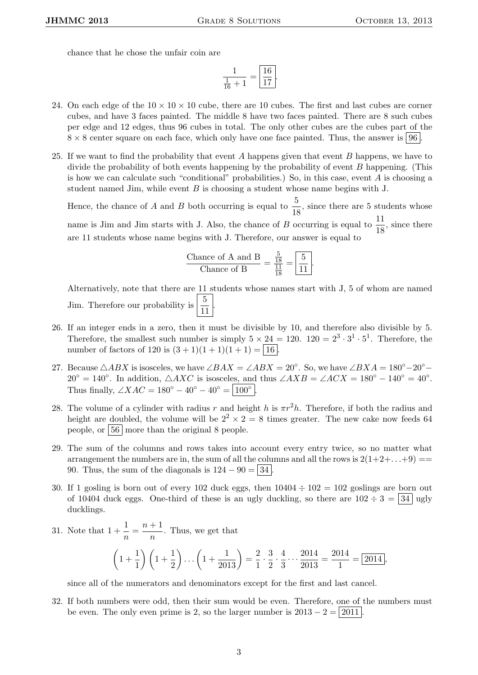chance that he chose the unfair coin are

$$
\frac{1}{\frac{1}{16} + 1} = \boxed{\frac{16}{17}}
$$

.

- 24. On each edge of the  $10 \times 10 \times 10$  cube, there are 10 cubes. The first and last cubes are corner cubes, and have 3 faces painted. The middle 8 have two faces painted. There are 8 such cubes per edge and 12 edges, thus 96 cubes in total. The only other cubes are the cubes part of the  $8 \times 8$  center square on each face, which only have one face painted. Thus, the answer is 96.
- 25. If we want to find the probability that event A happens given that event B happens, we have to divide the probability of both events happening by the probability of event B happening. (This is how we can calculate such "conditional" probabilities.) So, in this case, event  $A$  is choosing a student named Jim, while event  $B$  is choosing a student whose name begins with J.

Hence, the chance of A and B both occurring is equal to  $\frac{5}{18}$ , since there are 5 students whose name is Jim and Jim starts with J. Also, the chance of B occurring is equal to  $\frac{11}{18}$ , since there are 11 students whose name begins with J. Therefore, our answer is equal to

$$
\frac{\text{Change of A and B}}{\text{Change of B}} = \frac{\frac{5}{18}}{\frac{11}{18}} = \boxed{\frac{5}{11}}.
$$

Alternatively, note that there are 11 students whose names start with J, 5 of whom are named Jim. Therefore our probability is  $\frac{5}{11}$ .

- 26. If an integer ends in a zero, then it must be divisible by 10, and therefore also divisible by 5. Therefore, the smallest such number is simply  $5 \times 24 = 120$ .  $120 = 2^3 \cdot 3^1 \cdot 5^1$ . Therefore, the number of factors of 120 is  $(3 + 1)(1 + 1)(1 + 1) = 16$ .
- 27. Because  $\triangle ABX$  is isosceles, we have  $\angle BAX = \angle ABX = 20^{\circ}$ . So, we have  $\angle BXA = 180^{\circ} 20^{\circ} 160^{\circ}$  $20^{\circ} = 140^{\circ}$ . In addition,  $\triangle AXC$  is isosceles, and thus  $\angle AXB = \angle ACX = 180^{\circ} - 140^{\circ} = 40^{\circ}$ . Thus finally,  $\angle XAC = 180^{\circ} - 40^{\circ} - 40^{\circ} = |100^{\circ}|$ .
- 28. The volume of a cylinder with radius r and height h is  $\pi r^2 h$ . Therefore, if both the radius and height are doubled, the volume will be  $2^2 \times 2 = 8$  times greater. The new cake now feeds 64 people, or  $|56|$  more than the original 8 people.
- 29. The sum of the columns and rows takes into account every entry twice, so no matter what arrangement the numbers are in, the sum of all the columns and all the rows is  $2(1+2+\ldots+9) =$ 90. Thus, the sum of the diagonals is  $124 - 90 = |34|$ .
- 30. If 1 gosling is born out of every 102 duck eggs, then  $10404 \div 102 = 102$  goslings are born out of 10404 duck eggs. One-third of these is an ugly duckling, so there are  $102 \div 3 = 34$  ugly ducklings.

31. Note that 
$$
1 + \frac{1}{n} = \frac{n+1}{n}
$$
. Thus, we get that  
\n
$$
\left(1 + \frac{1}{1}\right)\left(1 + \frac{1}{2}\right)\dots\left(1 + \frac{1}{2013}\right) = \frac{2}{1} \cdot \frac{3}{2} \cdot \frac{4}{3} \dots \frac{2014}{2013} = \frac{2014}{1} = \boxed{2014},
$$

since all of the numerators and denominators except for the first and last cancel.

32. If both numbers were odd, then their sum would be even. Therefore, one of the numbers must be even. The only even prime is 2, so the larger number is  $2013 - 2 = |2011|$ .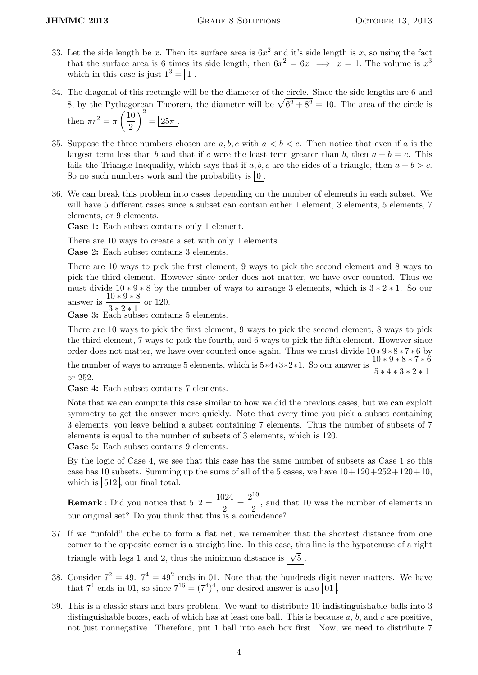- 33. Let the side length be x. Then its surface area is  $6x^2$  and it's side length is x, so using the fact that the surface area is 6 times its side length, then  $6x^2 = 6x \implies x = 1$ . The volume is  $x^3$ which in this case is just  $1^3 = \boxed{1}$ .
- 34. The diagonal of this rectangle will be the diameter of the circle. Since the side lengths are 6 and 8, by the Pythagorean Theorem, the diameter will be  $\sqrt{6^2 + 8^2} = 10$ . The area of the circle is then  $\pi r^2 = \pi \left(\frac{10}{2}\right)$ 2  $\bigg\}^2 = \boxed{25\pi}.$
- 35. Suppose the three numbers chosen are  $a, b, c$  with  $a < b < c$ . Then notice that even if a is the largest term less than b and that if c were the least term greater than b, then  $a + b = c$ . This fails the Triangle Inequality, which says that if a, b, c are the sides of a triangle, then  $a + b > c$ . So no such numbers work and the probability is  $\vert 0 \vert$ .
- 36. We can break this problem into cases depending on the number of elements in each subset. We will have 5 different cases since a subset can contain either 1 element, 3 elements, 5 elements, 7 elements, or 9 elements.

Case 1: Each subset contains only 1 element.

There are 10 ways to create a set with only 1 elements.

Case 2: Each subset contains 3 elements.

There are 10 ways to pick the first element, 9 ways to pick the second element and 8 ways to pick the third element. However since order does not matter, we have over counted. Thus we must divide  $10 * 9 * 8$  by the number of ways to arrange 3 elements, which is  $3 * 2 * 1$ . So our answer is  $\frac{10*9*8}{2}$  $\frac{10+6+8}{3*2*1}$  or 120.

Case 3: Each subset contains 5 elements.

There are 10 ways to pick the first element, 9 ways to pick the second element, 8 ways to pick the third element, 7 ways to pick the fourth, and 6 ways to pick the fifth element. However since order does not matter, we have over counted once again. Thus we must divide 10 ∗ 9 ∗ 8 ∗ 7 ∗ 6 by the number of ways to arrange 5 elements, which is  $5*4*3*2*1$ . So our answer is  $\frac{10*9*8*7*6}{5*4*3*2*1}$ 

or 252.

Case 4: Each subset contains 7 elements.

Note that we can compute this case similar to how we did the previous cases, but we can exploit symmetry to get the answer more quickly. Note that every time you pick a subset containing 3 elements, you leave behind a subset containing 7 elements. Thus the number of subsets of 7 elements is equal to the number of subsets of 3 elements, which is 120.

Case 5: Each subset contains 9 elements.

By the logic of Case 4, we see that this case has the same number of subsets as Case 1 so this case has 10 subsets. Summing up the sums of all of the 5 cases, we have  $10+120+252+120+10$ , which is  $|512|$ , our final total.

**Remark**: Did you notice that  $512 = \frac{1024}{2} = \frac{2^{10}}{2}$  $\frac{1}{2}$ , and that 10 was the number of elements in our original set? Do you think that this is a coincidence?

- 37. If we "unfold" the cube to form a flat net, we remember that the shortest distance from one corner to the opposite corner is a straight line. In this case, this line is the hypotenuse of a right triangle with legs 1 and 2, thus the minimum distance is  $\sqrt{5}$ .
- 38. Consider  $7^2 = 49$ .  $7^4 = 49^2$  ends in 01. Note that the hundreds digit never matters. We have that  $7^4$  ends in 01, so since  $7^{16} = (7^4)^4$ , our desired answer is also  $\boxed{01}$ .
- 39. This is a classic stars and bars problem. We want to distribute 10 indistinguishable balls into 3 distinguishable boxes, each of which has at least one ball. This is because  $a, b$ , and  $c$  are positive, not just nonnegative. Therefore, put 1 ball into each box first. Now, we need to distribute 7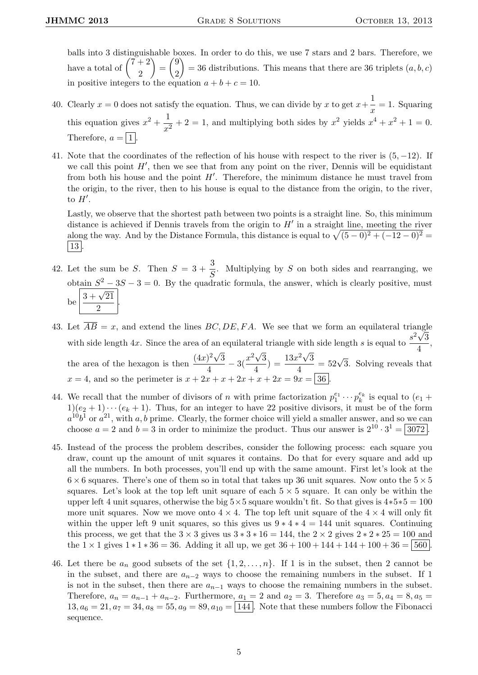balls into 3 distinguishable boxes. In order to do this, we use 7 stars and 2 bars. Therefore, we have a total of  $\binom{7+2}{2}$ 2  $=\binom{9}{8}$ 2  $= 36$  distributions. This means that there are 36 triplets  $(a, b, c)$ in positive integers to the equation  $a + b + c = 10$ .

- 40. Clearly  $x = 0$  does not satisfy the equation. Thus, we can divide by x to get  $x + \frac{1}{x}$  $\frac{1}{x} = 1$ . Squaring this equation gives  $x^2 + \frac{1}{x}$  $\frac{1}{x^2} + 2 = 1$ , and multiplying both sides by  $x^2$  yields  $x^4 + x^2 + 1 = 0$ . Therefore,  $a = |1|$
- 41. Note that the coordinates of the reflection of his house with respect to the river is  $(5, -12)$ . If we call this point  $H'$ , then we see that from any point on the river, Dennis will be equidistant from both his house and the point  $H'$ . Therefore, the minimum distance he must travel from the origin, to the river, then to his house is equal to the distance from the origin, to the river, to  $H'$ .

Lastly, we observe that the shortest path between two points is a straight line. So, this minimum distance is achieved if Dennis travels from the origin to  $H'$  in a straight line, meeting the river along the way. And by the Distance Formula, this distance is equal to  $\sqrt{(5-0)^2 + (-12-0)^2}$ | 13 |

- 42. Let the sum be S. Then  $S = 3 + \frac{3}{6}$  $\frac{3}{S}$ . Multiplying by S on both sides and rearranging, we obtain  $S^2 - 3S - 3 = 0$ . By the quadratic formula, the answer, which is clearly positive, must  $b$ e  $\sqrt{\frac{3+\sqrt{21}}{2}}$  $\frac{1}{2}$
- 43. Let  $AB = x$ , and extend the lines  $BC, DE, FA$ . We see that we form an equilateral triangle with side length 4x. Since the area of an equilateral triangle with side length s is equal to  $\frac{s^2\sqrt{3}}{4}$  $\frac{1}{4}$ , the area of the hexagon is then  $\frac{(4x)^2\sqrt{3}}{4}$ √ √ √  $\frac{1}{4}$ <sup>2</sup> $\sqrt{3}$ <sup>2</sup> $\frac{x^2\sqrt{3}}{4}$  $\frac{d^2\sqrt{3}}{4}$ ) =  $\frac{13x^2\sqrt{3}}{4}$  $\frac{e^{2}\sqrt{3}}{4}$  = 52 $\sqrt{3}$ . Solving reveals that  $x = 4$ , and so the perimeter is  $x + 2x + x + 2x + x + 2x = 9x = |36|$
- 44. We recall that the number of divisors of n with prime factorization  $p_1^{e_1} \cdots p_k^{e_k}$  is equal to  $(e_1 +$  $1)(e_2 + 1) \cdots (e_k + 1)$ . Thus, for an integer to have 22 positive divisors, it must be of the form  $a^{10}b^1$  or  $a^{21}$ , with a, b prime. Clearly, the former choice will yield a smaller answer, and so we can choose  $a = 2$  and  $b = 3$  in order to minimize the product. Thus our answer is  $2^{10} \cdot 3^1 = 3072$ .
- 45. Instead of the process the problem describes, consider the following process: each square you draw, count up the amount of unit squares it contains. Do that for every square and add up all the numbers. In both processes, you'll end up with the same amount. First let's look at the  $6 \times 6$  squares. There's one of them so in total that takes up 36 unit squares. Now onto the  $5 \times 5$ squares. Let's look at the top left unit square of each  $5 \times 5$  square. It can only be within the upper left 4 unit squares, otherwise the big  $5\times 5$  square wouldn't fit. So that gives is  $4*5*5 = 100$ more unit squares. Now we move onto  $4 \times 4$ . The top left unit square of the  $4 \times 4$  will only fit within the upper left 9 unit squares, so this gives us  $9 * 4 * 4 = 144$  unit squares. Continuing this process, we get that the  $3 \times 3$  gives us  $3 * 3 * 16 = 144$ , the  $2 \times 2$  gives  $2 * 2 * 25 = 100$  and the  $1 \times 1$  gives  $1 * 1 * 36 = 36$ . Adding it all up, we get  $36 + 100 + 144 + 144 + 100 + 36 = 560$ .
- 46. Let there be  $a_n$  good subsets of the set  $\{1, 2, \ldots, n\}$ . If 1 is in the subset, then 2 cannot be in the subset, and there are  $a_{n-2}$  ways to choose the remaining numbers in the subset. If 1 is not in the subset, then there are  $a_{n-1}$  ways to choose the remaining numbers in the subset. Therefore,  $a_n = a_{n-1} + a_{n-2}$ . Furthermore,  $a_1 = 2$  and  $a_2 = 3$ . Therefore  $a_3 = 5, a_4 = 8, a_5 = 1$  $13, a_6 = 21, a_7 = 34, a_8 = 55, a_9 = 89, a_{10} = \boxed{144}$ . Note that these numbers follow the Fibonacci sequence.